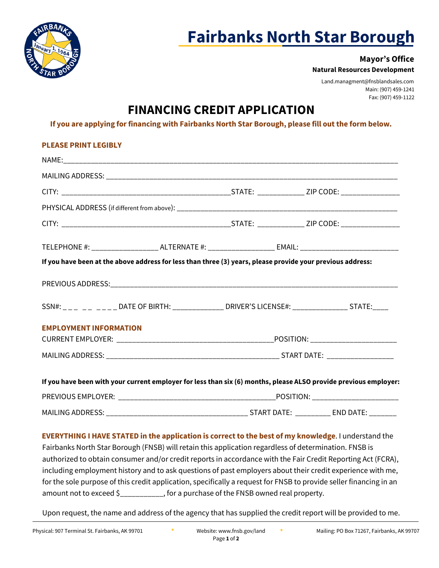

# **Fairbanks North Star Borough**

### **Mayor's Office Natural Resources Development**

Land.managment@fnsblandsales.com Main: (907) 459-1241 Fax: (907) 459-1122

## **FINANCING CREDIT APPLICATION**

**If you are applying for financing with Fairbanks North Star Borough, please fill out the form below.** 

| <b>PLEASE PRINT LEGIBLY</b>                                                                                                                                                                                                                                   |                                                                                                           |  |  |
|---------------------------------------------------------------------------------------------------------------------------------------------------------------------------------------------------------------------------------------------------------------|-----------------------------------------------------------------------------------------------------------|--|--|
|                                                                                                                                                                                                                                                               |                                                                                                           |  |  |
|                                                                                                                                                                                                                                                               |                                                                                                           |  |  |
|                                                                                                                                                                                                                                                               |                                                                                                           |  |  |
|                                                                                                                                                                                                                                                               |                                                                                                           |  |  |
|                                                                                                                                                                                                                                                               |                                                                                                           |  |  |
|                                                                                                                                                                                                                                                               | TELEPHONE #: _____________________ ALTERNATE #: _____________________ EMAIL: ____________________________ |  |  |
| If you have been at the above address for less than three (3) years, please provide your previous address:                                                                                                                                                    |                                                                                                           |  |  |
|                                                                                                                                                                                                                                                               |                                                                                                           |  |  |
|                                                                                                                                                                                                                                                               |                                                                                                           |  |  |
|                                                                                                                                                                                                                                                               |                                                                                                           |  |  |
|                                                                                                                                                                                                                                                               |                                                                                                           |  |  |
|                                                                                                                                                                                                                                                               |                                                                                                           |  |  |
|                                                                                                                                                                                                                                                               |                                                                                                           |  |  |
| SSN#: _ _ _ _ _ _ _ _ _ _ DATE OF BIRTH: ______________ DRIVER'S LICENSE#: _________________ STATE:_____<br><b>EMPLOYMENT INFORMATION</b><br>If you have been with your current employer for less than six (6) months, please ALSO provide previous employer: |                                                                                                           |  |  |
|                                                                                                                                                                                                                                                               |                                                                                                           |  |  |

Fairbanks North Star Borough (FNSB) will retain this application regardless of determination. FNSB is authorized to obtain consumer and/or credit reports in accordance with the Fair Credit Reporting Act (FCRA), including employment history and to ask questions of past employers about their credit experience with me, for the sole purpose of this credit application, specifically a request for FNSB to provide seller financing in an amount not to exceed \$\_\_\_\_\_\_\_\_\_\_\_, for a purchase of the FNSB owned real property.

Upon request, the name and address of the agency that has supplied the credit report will be provided to me.